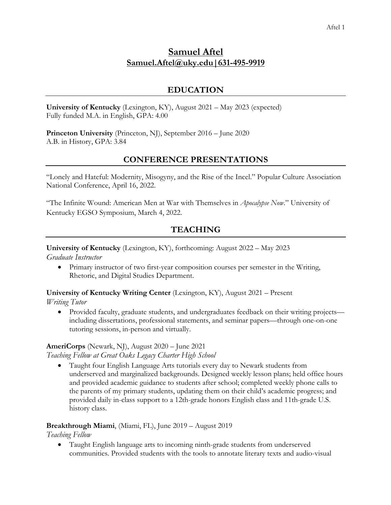# **Samuel Aftel Samuel.Aftel@uky.edu|631-495-9919**

### **EDUCATION**

**University of Kentucky** (Lexington, KY), August 2021 – May 2023 (expected) Fully funded M.A. in English, GPA: 4.00

**Princeton University** (Princeton, NJ), September 2016 – June 2020 A.B. in History, GPA: 3.84

## **CONFERENCE PRESENTATIONS**

"Lonely and Hateful: Modernity, Misogyny, and the Rise of the Incel." Popular Culture Association National Conference, April 16, 2022.

"The Infinite Wound: American Men at War with Themselves in *Apocalypse Now*." University of Kentucky EGSO Symposium, March 4, 2022.

## **TEACHING**

**University of Kentucky** (Lexington, KY), forthcoming: August 2022 – May 2023

*Graduate Instructor*

• Primary instructor of two first-year composition courses per semester in the Writing, Rhetoric, and Digital Studies Department.

**University of Kentucky Writing Center** (Lexington, KY), August 2021 – Present

*Writing Tutor*

• Provided faculty, graduate students, and undergraduates feedback on their writing projects including dissertations, professional statements, and seminar papers––through one-on-one tutoring sessions, in-person and virtually.

#### **AmeriCorps** (Newark, NJ), August 2020 – June 2021

*Teaching Fellow at Great Oaks Legacy Charter High School*

• Taught four English Language Arts tutorials every day to Newark students from underserved and marginalized backgrounds. Designed weekly lesson plans; held office hours and provided academic guidance to students after school; completed weekly phone calls to the parents of my primary students, updating them on their child's academic progress; and provided daily in-class support to a 12th-grade honors English class and 11th-grade U.S. history class.

#### **Breakthrough Miami**, (Miami, FL), June 2019 – August 2019

*Teaching Fellow* 

• Taught English language arts to incoming ninth-grade students from underserved communities. Provided students with the tools to annotate literary texts and audio-visual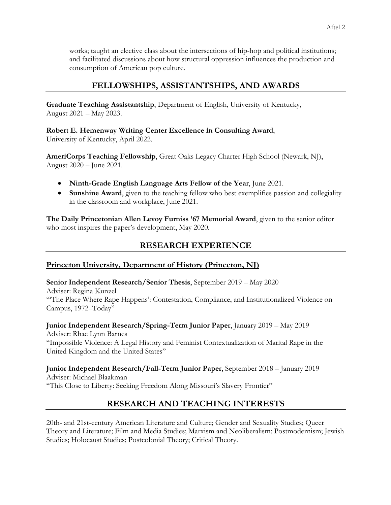works; taught an elective class about the intersections of hip-hop and political institutions; and facilitated discussions about how structural oppression influences the production and consumption of American pop culture.

# **FELLOWSHIPS, ASSISTANTSHIPS, AND AWARDS**

**Graduate Teaching Assistantship**, Department of English, University of Kentucky, August 2021 – May 2023.

**Robert E. Hemenway Writing Center Excellence in Consulting Award**,

University of Kentucky, April 2022.

**AmeriCorps Teaching Fellowship**, Great Oaks Legacy Charter High School (Newark, NJ), August 2020 – June 2021.

- **Ninth-Grade English Language Arts Fellow of the Year**, June 2021.
- **Sunshine Award**, given to the teaching fellow who best exemplifies passion and collegiality in the classroom and workplace, June 2021.

**The Daily Princetonian Allen Levoy Furniss '67 Memorial Award**, given to the senior editor who most inspires the paper's development, May 2020.

# **RESEARCH EXPERIENCE**

# **Princeton University, Department of History (Princeton, NJ)**

**Senior Independent Research/Senior Thesis**, September 2019 – May 2020 Adviser: Regina Kunzel "'The Place Where Rape Happens': Contestation, Compliance, and Institutionalized Violence on Campus, 1972–Today"

**Junior Independent Research/Spring-Term Junior Paper**, January 2019 – May 2019 Adviser: Rhae Lynn Barnes "Impossible Violence: A Legal History and Feminist Contextualization of Marital Rape in the United Kingdom and the United States"

**Junior Independent Research/Fall-Term Junior Paper**, September 2018 – January 2019

Adviser: Michael Blaakman "This Close to Liberty: Seeking Freedom Along Missouri's Slavery Frontier"

# **RESEARCH AND TEACHING INTERESTS**

20th- and 21st-century American Literature and Culture; Gender and Sexuality Studies; Queer Theory and Literature; Film and Media Studies; Marxism and Neoliberalism; Postmodernism; Jewish Studies; Holocaust Studies; Postcolonial Theory; Critical Theory.